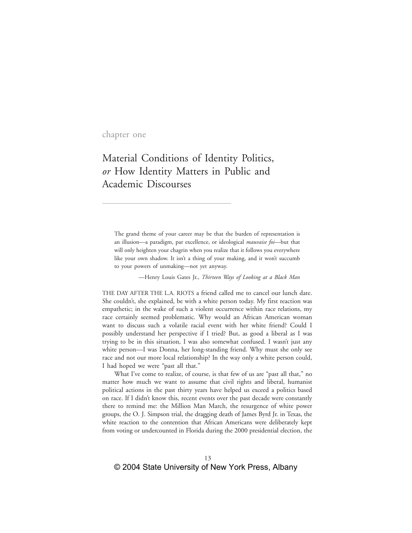chapter one

# Material Conditions of Identity Politics, *or* How Identity Matters in Public and Academic Discourses

The grand theme of your career may be that the burden of representation is an illusion—a paradigm, par excellence, or ideological *mauvaise foi*—but that will only heighten your chagrin when you realize that it follows you everywhere like your own shadow. It isn't a thing of your making, and it won't succumb to your powers of unmaking—not yet anyway.

—Henry Louis Gates Jr., *Thirteen Ways of Looking at a Black Man*

THE DAY AFTER THE L.A. RIOTS a friend called me to cancel our lunch date. She couldn't, she explained, be with a white person today. My first reaction was empathetic; in the wake of such a violent occurrence within race relations, my race certainly seemed problematic. Why would an African American woman want to discuss such a volatile racial event with her white friend? Could I possibly understand her perspective if I tried? But, as good a liberal as I was trying to be in this situation, I was also somewhat confused. I wasn't just any white person—I was Donna, her long-standing friend. Why must she only see race and not our more local relationship? In the way only a white person could, I had hoped we were "past all that."

What I've come to realize, of course, is that few of us are "past all that," no matter how much we want to assume that civil rights and liberal, humanist political actions in the past thirty years have helped us exceed a politics based on race. If I didn't know this, recent events over the past decade were constantly there to remind me: the Million Man March, the resurgence of white power groups, the O. J. Simpson trial, the dragging death of James Byrd Jr. in Texas, the white reaction to the contention that African Americans were deliberately kept from voting or undercounted in Florida during the 2000 presidential election, the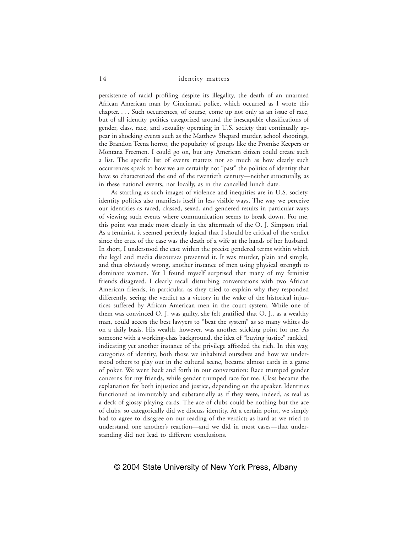persistence of racial profiling despite its illegality, the death of an unarmed African American man by Cincinnati police, which occurred as I wrote this chapter. . . . Such occurrences, of course, come up not only as an issue of race, but of all identity politics categorized around the inescapable classifications of gender, class, race, and sexuality operating in U.S. society that continually appear in shocking events such as the Matthew Shepard murder, school shootings, the Brandon Teena horror, the popularity of groups like the Promise Keepers or Montana Freemen. I could go on, but any American citizen could create such a list. The specific list of events matters not so much as how clearly such occurrences speak to how we are certainly not "past" the politics of identity that have so characterized the end of the twentieth century—neither structurally, as in these national events, nor locally, as in the cancelled lunch date.

As startling as such images of violence and inequities are in U.S. society, identity politics also manifests itself in less visible ways. The way we perceive our identities as raced, classed, sexed, and gendered results in particular ways of viewing such events where communication seems to break down. For me, this point was made most clearly in the aftermath of the O. J. Simpson trial. As a feminist, it seemed perfectly logical that I should be critical of the verdict since the crux of the case was the death of a wife at the hands of her husband. In short, I understood the case within the precise gendered terms within which the legal and media discourses presented it. It was murder, plain and simple, and thus obviously wrong, another instance of men using physical strength to dominate women. Yet I found myself surprised that many of my feminist friends disagreed. I clearly recall disturbing conversations with two African American friends, in particular, as they tried to explain why they responded differently, seeing the verdict as a victory in the wake of the historical injustices suffered by African American men in the court system. While one of them was convinced O. J. was guilty, she felt gratified that O. J., as a wealthy man, could access the best lawyers to "beat the system" as so many whites do on a daily basis. His wealth, however, was another sticking point for me. As someone with a working-class background, the idea of "buying justice" rankled, indicating yet another instance of the privilege afforded the rich. In this way, categories of identity, both those we inhabited ourselves and how we understood others to play out in the cultural scene, became almost cards in a game of poker. We went back and forth in our conversation: Race trumped gender concerns for my friends, while gender trumped race for me. Class became the explanation for both injustice and justice, depending on the speaker. Identities functioned as immutably and substantially as if they were, indeed, as real as a deck of glossy playing cards. The ace of clubs could be nothing but the ace of clubs, so categorically did we discuss identity. At a certain point, we simply had to agree to disagree on our reading of the verdict; as hard as we tried to understand one another's reaction—and we did in most cases—that understanding did not lead to different conclusions.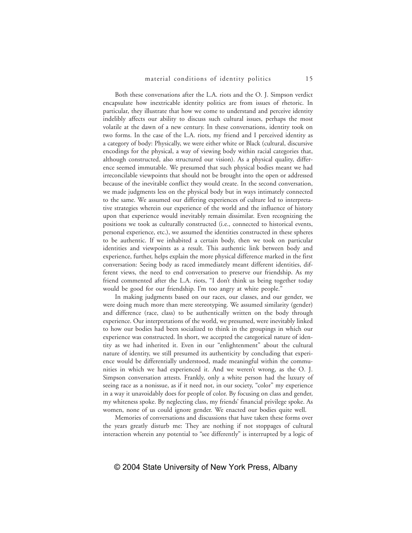Both these conversations after the L.A. riots and the O. J. Simpson verdict encapsulate how inextricable identity politics are from issues of rhetoric. In particular, they illustrate that how we come to understand and perceive identity indelibly affects our ability to discuss such cultural issues, perhaps the most volatile at the dawn of a new century. In these conversations, identity took on two forms. In the case of the L.A. riots, my friend and I perceived identity as a category of body: Physically, we were either white or Black (cultural, discursive encodings for the physical, a way of viewing body within racial categories that, although constructed, also structured our vision). As a physical quality, difference seemed immutable. We presumed that such physical bodies meant we had irreconcilable viewpoints that should not be brought into the open or addressed because of the inevitable conflict they would create. In the second conversation, we made judgments less on the physical body but in ways intimately connected to the same. We assumed our differing experiences of culture led to interpretative strategies wherein our experience of the world and the influence of history upon that experience would inevitably remain dissimilar. Even recognizing the positions we took as culturally constructed (i.e., connected to historical events, personal experience, etc.), we assumed the identities constructed in these spheres to be authentic. If we inhabited a certain body, then we took on particular identities and viewpoints as a result. This authentic link between body and experience, further, helps explain the more physical difference marked in the first conversation: Seeing body as raced immediately meant different identities, different views, the need to end conversation to preserve our friendship. As my friend commented after the L.A. riots, "I don't think us being together today would be good for our friendship. I'm too angry at white people."

In making judgments based on our races, our classes, and our gender, we were doing much more than mere stereotyping. We assumed similarity (gender) and difference (race, class) to be authentically written on the body through experience. Our interpretations of the world, we presumed, were inevitably linked to how our bodies had been socialized to think in the groupings in which our experience was constructed. In short, we accepted the categorical nature of identity as we had inherited it. Even in our "enlightenment" about the cultural nature of identity, we still presumed its authenticity by concluding that experience would be differentially understood, made meaningful within the communities in which we had experienced it. And we weren't wrong, as the O. J. Simpson conversation attests. Frankly, only a white person had the luxury of seeing race as a nonissue, as if it need not, in our society, "color" my experience in a way it unavoidably does for people of color. By focusing on class and gender, my whiteness spoke. By neglecting class, my friends' financial privilege spoke. As women, none of us could ignore gender. We enacted our bodies quite well.

Memories of conversations and discussions that have taken these forms over the years greatly disturb me: They are nothing if not stoppages of cultural interaction wherein any potential to "see differently" is interrupted by a logic of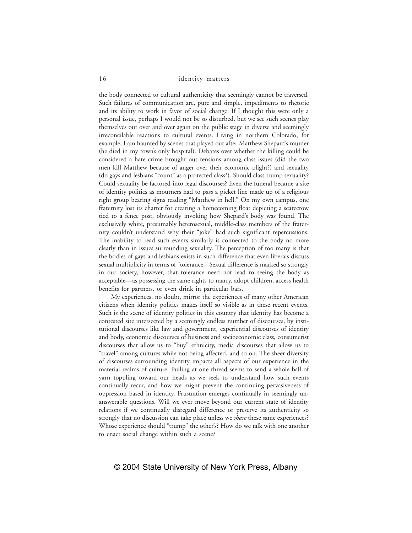#### 16 identity matters

the body connected to cultural authenticity that seemingly cannot be traversed. Such failures of communication are, pure and simple, impediments to rhetoric and its ability to work in favor of social change. If I thought this were only a personal issue, perhaps I would not be so disturbed, but we see such scenes play themselves out over and over again on the public stage in diverse and seemingly irreconcilable reactions to cultural events. Living in northern Colorado, for example, I am haunted by scenes that played out after Matthew Shepard's murder (he died in my town's only hospital). Debates over whether the killing could be considered a hate crime brought out tensions among class issues (did the two men kill Matthew because of anger over their economic plight?) and sexuality (do gays and lesbians "count" as a protected class?). Should class trump sexuality? Could sexuality be factored into legal discourses? Even the funeral became a site of identity politics as mourners had to pass a picket line made up of a religious right group bearing signs reading "Matthew in hell." On my own campus, one fraternity lost its charter for creating a homecoming float depicting a scarecrow tied to a fence post, obviously invoking how Shepard's body was found. The exclusively white, presumably heterosexual, middle-class members of the fraternity couldn't understand why their "joke" had such significant repercussions. The inability to read such events similarly is connected to the body no more clearly than in issues surrounding sexuality. The perception of too many is that the bodies of gays and lesbians exists in such difference that even liberals discuss sexual multiplicity in terms of "tolerance." Sexual difference is marked so strongly in our society, however, that tolerance need not lead to seeing the body as acceptable—as possessing the same rights to marry, adopt children, access health benefits for partners, or even drink in particular bars.

My experiences, no doubt, mirror the experiences of many other American citizens when identity politics makes itself so visible as in these recent events. Such is the scene of identity politics in this country that identity has become a contested site intersected by a seemingly endless number of discourses, by institutional discourses like law and government, experiential discourses of identity and body, economic discourses of business and socioeconomic class, consumerist discourses that allow us to "buy" ethnicity, media discourses that allow us to "travel" among cultures while not being affected, and so on. The sheer diversity of discourses surrounding identity impacts all aspects of our experience in the material realms of culture. Pulling at one thread seems to send a whole ball of yarn toppling toward our heads as we seek to understand how such events continually recur, and how we might prevent the continuing pervasiveness of oppression based in identity. Frustration emerges continually in seemingly unanswerable questions. Will we ever move beyond our current state of identity relations if we continually disregard difference or preserve its authenticity so strongly that no discussion can take place unless we *share* these same experiences? Whose experience should "trump" the other's? How do we talk with one another to enact social change within such a scene?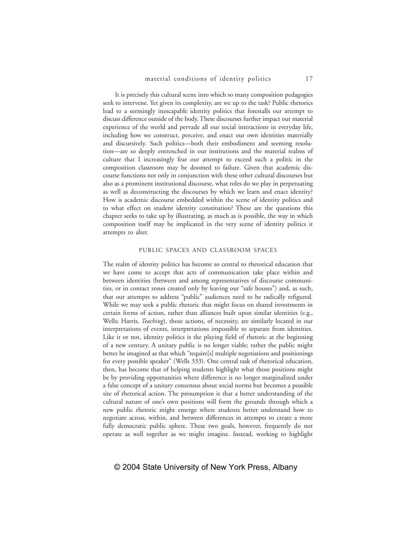It is precisely this cultural scene into which so many composition pedagogies seek to intervene. Yet given its complexity, are we up to the task? Public rhetorics lead to a seemingly inescapable identity politics that forestalls our attempt to discuss difference outside of the body. These discourses further impact our material experience of the world and pervade all our social interactions in everyday life, including how we construct, perceive, and enact our own identities materially and discursively. Such politics—both their embodiment and seeming resolution—are so deeply entrenched in our institutions and the material realms of culture that I increasingly fear our attempt to exceed such a politic in the composition classroom may be doomed to failure. Given that academic discourse functions not only in conjunction with these other cultural discourses but also as a prominent institutional discourse, what roles do we play in perpetuating as well as deconstructing the discourses by which we learn and enact identity? How is academic discourse embedded within the scene of identity politics and to what effect on student identity constitution? These are the questions this chapter seeks to take up by illustrating, as much as is possible, the way in which composition itself may be implicated in the very scene of identity politics it attempts to alter.

#### PUBLIC SPACES AND CLASSROOM SPACES

The realm of identity politics has become so central to rhetorical education that we have come to accept that acts of communication take place within and between identities (between and among representatives of discourse communities, or in contact zones created only by leaving our "safe houses") and, as such, that our attempts to address "public" audiences need to be radically refigured. While we may seek a public rhetoric that might focus on shared investments in certain forms of action, rather than alliances built upon similar identities (e.g., Wells; Harris, *Teaching*), those actions, of necessity, are similarly located in our interpretations of events, interpretations impossible to separate from identities. Like it or not, identity politics is the playing field of rhetoric at the beginning of a new century. A unitary public is no longer viable; rather the public might better be imagined as that which "require[s] multiple negotiations and positionings for every possible speaker" (Wells 333). One central task of rhetorical education, then, has become that of helping students highlight what those positions might be by providing opportunities where difference is no longer marginalized under a false concept of a unitary consensus about social norms but becomes a possible site of rhetorical action. The presumption is that a better understanding of the cultural nature of one's own positions will form the grounds through which a new public rhetoric might emerge where students better understand how to negotiate across, within, and between differences in attempts to create a more fully democratic public sphere. These two goals, however, frequently do not operate as well together as we might imagine. Instead, working to highlight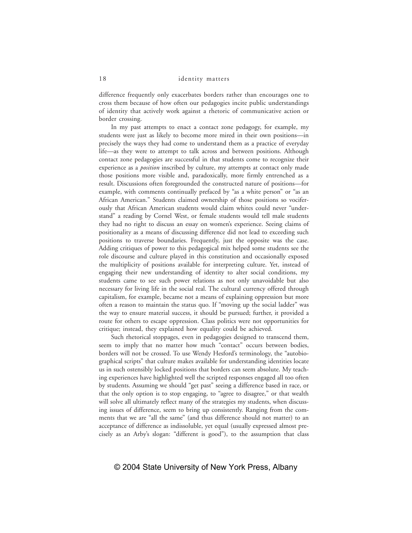difference frequently only exacerbates borders rather than encourages one to cross them because of how often our pedagogies incite public understandings of identity that actively work against a rhetoric of communicative action or border crossing.

In my past attempts to enact a contact zone pedagogy, for example, my students were just as likely to become more mired in their own positions—in precisely the ways they had come to understand them as a practice of everyday life—as they were to attempt to talk across and between positions. Although contact zone pedagogies are successful in that students come to recognize their experience as a *position* inscribed by culture, my attempts at contact only made those positions more visible and, paradoxically, more firmly entrenched as a result. Discussions often foregrounded the constructed nature of positions—for example, with comments continually prefaced by "as a white person" or "as an African American." Students claimed ownership of those positions so vociferously that African American students would claim whites could never "understand" a reading by Cornel West, or female students would tell male students they had no right to discuss an essay on women's experience. Seeing claims of positionality as a means of discussing difference did not lead to exceeding such positions to traverse boundaries. Frequently, just the opposite was the case. Adding critiques of power to this pedagogical mix helped some students see the role discourse and culture played in this constitution and occasionally exposed the multiplicity of positions available for interpreting culture. Yet, instead of engaging their new understanding of identity to alter social conditions, my students came to see such power relations as not only unavoidable but also necessary for living life in the social real. The cultural currency offered through capitalism, for example, became not a means of explaining oppression but more often a reason to maintain the status quo. If "moving up the social ladder" was the way to ensure material success, it should be pursued; further, it provided a route for others to escape oppression. Class politics were not opportunities for critique; instead, they explained how equality could be achieved.

Such rhetorical stoppages, even in pedagogies designed to transcend them, seem to imply that no matter how much "contact" occurs between bodies, borders will not be crossed. To use Wendy Hesford's terminology, the "autobiographical scripts" that culture makes available for understanding identities locate us in such ostensibly locked positions that borders can seem absolute. My teaching experiences have highlighted well the scripted responses engaged all too often by students. Assuming we should "get past" seeing a difference based in race, or that the only option is to stop engaging, to "agree to disagree," or that wealth will solve all ultimately reflect many of the strategies my students, when discussing issues of difference, seem to bring up consistently. Ranging from the comments that we are "all the same" (and thus difference should not matter) to an acceptance of difference as indissoluble, yet equal (usually expressed almost precisely as an Arby's slogan: "different is good"), to the assumption that class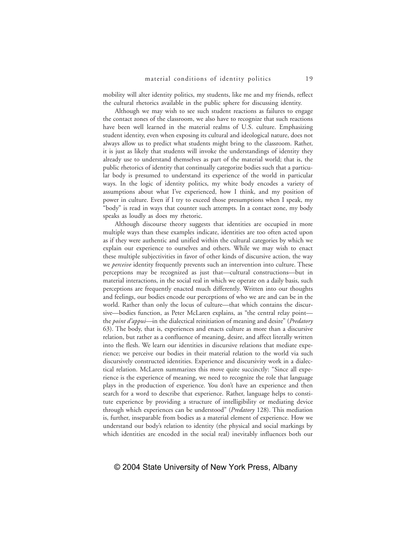mobility will alter identity politics, my students, like me and my friends, reflect the cultural rhetorics available in the public sphere for discussing identity.

Although we may wish to see such student reactions as failures to engage the contact zones of the classroom, we also have to recognize that such reactions have been well learned in the material realms of U.S. culture. Emphasizing student identity, even when exposing its cultural and ideological nature, does not always allow us to predict what students might bring to the classroom. Rather, it is just as likely that students will invoke the understandings of identity they already use to understand themselves as part of the material world; that is, the public rhetorics of identity that continually categorize bodies such that a particular body is presumed to understand its experience of the world in particular ways. In the logic of identity politics, my white body encodes a variety of assumptions about what I've experienced, how I think, and my position of power in culture. Even if I try to exceed those presumptions when I speak, my "body" is read in ways that counter such attempts. In a contact zone, my body speaks as loudly as does my rhetoric.

Although discourse theory suggests that identities are occupied in more multiple ways than these examples indicate, identities are too often acted upon as if they were authentic and unified within the cultural categories by which we explain our experience to ourselves and others. While we may wish to enact these multiple subjectivities in favor of other kinds of discursive action, the way we *perceive* identity frequently prevents such an intervention into culture. These perceptions may be recognized as just that—cultural constructions—but in material interactions, in the social real in which we operate on a daily basis, such perceptions are frequently enacted much differently. Written into our thoughts and feelings, our bodies encode our perceptions of who we are and can be in the world. Rather than only the locus of culture—that which contains the discursive—bodies function, as Peter McLaren explains, as "the central relay point the *point d'appui—*in the dialectical reinitiation of meaning and desire" (*Predatory* 63). The body, that is, experiences and enacts culture as more than a discursive relation, but rather as a confluence of meaning, desire, and affect literally written into the flesh. We learn our identities in discursive relations that mediate experience; we perceive our bodies in their material relation to the world via such discursively constructed identities. Experience and discursivity work in a dialectical relation. McLaren summarizes this move quite succinctly: "Since all experience is the experience of meaning, we need to recognize the role that language plays in the production of experience. You don't have an experience and then search for a word to describe that experience. Rather, language helps to constitute experience by providing a structure of intelligibility or mediating device through which experiences can be understood" (*Predatory* 128). This mediation is, further, inseparable from bodies as a material element of experience. How we understand our body's relation to identity (the physical and social markings by which identities are encoded in the social real) inevitably influences both our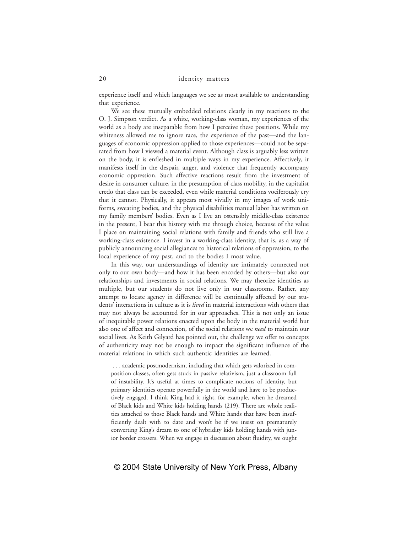experience itself and which languages we see as most available to understanding that experience.

We see these mutually embedded relations clearly in my reactions to the O. J. Simpson verdict. As a white, working-class woman, my experiences of the world as a body are inseparable from how I perceive these positions. While my whiteness allowed me to ignore race, the experience of the past—and the languages of economic oppression applied to those experiences—could not be separated from how I viewed a material event. Although class is arguably less written on the body, it is enfleshed in multiple ways in my experience. Affectively, it manifests itself in the despair, anger, and violence that frequently accompany economic oppression. Such affective reactions result from the investment of desire in consumer culture, in the presumption of class mobility, in the capitalist credo that class can be exceeded, even while material conditions vociferously cry that it cannot. Physically, it appears most vividly in my images of work uniforms, sweating bodies, and the physical disabilities manual labor has written on my family members' bodies. Even as I live an ostensibly middle-class existence in the present, I bear this history with me through choice, because of the value I place on maintaining social relations with family and friends who still live a working-class existence. I invest in a working-class identity, that is, as a way of publicly announcing social allegiances to historical relations of oppression, to the local experience of my past, and to the bodies I most value.

In this way, our understandings of identity are intimately connected not only to our own body—and how it has been encoded by others—but also our relationships and investments in social relations. We may theorize identities as multiple, but our students do not live only in our classrooms. Rather, any attempt to locate agency in difference will be continually affected by our students' interactions in culture as it is *lived* in material interactions with others that may not always be accounted for in our approaches. This is not only an issue of inequitable power relations enacted upon the body in the material world but also one of affect and connection, of the social relations we *need* to maintain our social lives. As Keith Gilyard has pointed out, the challenge we offer to concepts of authenticity may not be enough to impact the significant influence of the material relations in which such authentic identities are learned.

. . . academic postmodernism, including that which gets valorized in composition classes, often gets stuck in passive relativism, just a classroom full of instability. It's useful at times to complicate notions of identity, but primary identities operate powerfully in the world and have to be productively engaged. I think King had it right, for example, when he dreamed of Black kids and White kids holding hands (219). There are whole realities attached to those Black hands and White hands that have been insufficiently dealt with to date and won't be if we insist on prematurely converting King's dream to one of hybridity kids holding hands with junior border crossers. When we engage in discussion about fluidity, we ought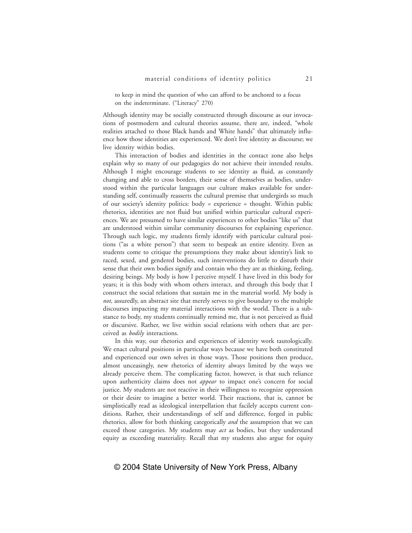to keep in mind the question of who can afford to be anchored to a focus on the indeterminate. ("Literacy" 270)

Although identity may be socially constructed through discourse as our invocations of postmodern and cultural theories assume, there are, indeed, "whole realities attached to those Black hands and White hands" that ultimately influence how those identities are experienced. We don't live identity as discourse; we live identity within bodies.

This interaction of bodies and identities in the contact zone also helps explain why so many of our pedagogies do not achieve their intended results. Although I might encourage students to see identity as fluid, as constantly changing and able to cross borders, their sense of themselves as bodies, understood within the particular languages our culture makes available for understanding self, continually reasserts the cultural premise that undergirds so much of our society's identity politics: body = experience = thought. Within public rhetorics, identities are not fluid but unified within particular cultural experiences. We are presumed to have similar experiences to other bodies "like us" that are understood within similar community discourses for explaining experience. Through such logic, my students firmly identify with particular cultural positions ("as a white person") that seem to bespeak an entire identity. Even as students come to critique the presumptions they make about identity's link to raced, sexed, and gendered bodies, such interventions do little to disturb their sense that their own bodies signify and contain who they are as thinking, feeling, desiring beings. My body is how I perceive myself. I have lived in this body for years; it is this body with whom others interact, and through this body that I construct the social relations that sustain me in the material world. My body is *not,* assuredly, an abstract site that merely serves to give boundary to the multiple discourses impacting my material interactions with the world. There is a substance to body, my students continually remind me, that is not perceived as fluid or discursive. Rather, we live within social relations with others that are perceived as *bodily* interactions.

In this way, our rhetorics and experiences of identity work tautologically. We enact cultural positions in particular ways because we have both constituted and experienced our own selves in those ways. Those positions then produce, almost unceasingly, new rhetorics of identity always limited by the ways we already perceive them. The complicating factor, however, is that such reliance upon authenticity claims does not *appear* to impact one's concern for social justice. My students are not reactive in their willingness to recognize oppression or their desire to imagine a better world. Their reactions, that is, cannot be simplistically read as ideological interpellation that facilely accepts current conditions. Rather, their understandings of self and difference, forged in public rhetorics, allow for both thinking categorically *and* the assumption that we can exceed those categories. My students may *act* as bodies, but they understand equity as exceeding materiality. Recall that my students also argue for equity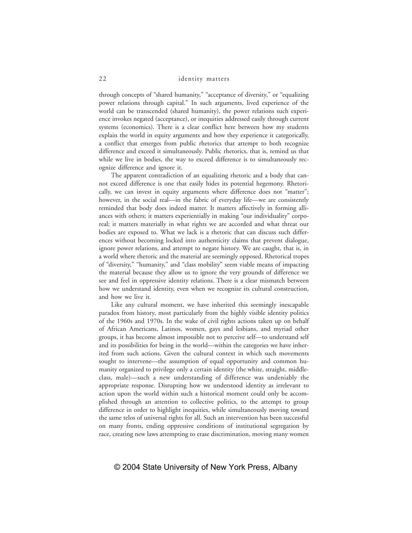through concepts of "shared humanity," "acceptance of diversity," or "equalizing power relations through capital." In such arguments, lived experience of the world can be transcended (shared humanity), the power relations such experience invokes negated (acceptance), or inequities addressed easily through current systems (economics). There is a clear conflict here between how my students explain the world in equity arguments and how they experience it categorically, a conflict that emerges from public rhetorics that attempt to both recognize difference and exceed it simultaneously. Public rhetorics, that is, remind us that while we live in bodies, the way to exceed difference is to simultaneously recognize difference and ignore it.

The apparent contradiction of an equalizing rhetoric and a body that cannot exceed difference is one that easily hides its potential hegemony. Rhetorically, we can invest in equity arguments where difference does not "matter"; however, in the social real—in the fabric of everyday life—we are consistently reminded that body does indeed matter. It matters affectively in forming alliances with others; it matters experientially in making "our individuality" corporeal; it matters materially in what rights we are accorded and what threat our bodies are exposed to. What we lack is a rhetoric that can discuss such differences without becoming locked into authenticity claims that prevent dialogue, ignore power relations, and attempt to negate history. We are caught, that is, in a world where rhetoric and the material are seemingly opposed. Rhetorical tropes of "diversity," "humanity," and "class mobility" seem viable means of impacting the material because they allow us to ignore the very grounds of difference we see and feel in oppressive identity relations. There is a clear mismatch between how we understand identity, even when we recognize its cultural construction, and how we live it.

Like any cultural moment, we have inherited this seemingly inescapable paradox from history, most particularly from the highly visible identity politics of the 1960s and 1970s. In the wake of civil rights actions taken up on behalf of African Americans, Latinos, women, gays and lesbians, and myriad other groups, it has become almost impossible not to perceive self—to understand self and its possibilities for being in the world—within the categories we have inherited from such actions. Given the cultural context in which such movements sought to intervene—the assumption of equal opportunity and common humanity organized to privilege only a certain identity (the white, straight, middleclass, male)—such a new understanding of difference was undeniably the appropriate response. Disrupting how we understood identity as irrelevant to action upon the world within such a historical moment could only be accomplished through an attention to collective politics, to the attempt to group difference in order to highlight inequities, while simultaneously moving toward the same telos of universal rights for all. Such an intervention has been successful on many fronts, ending oppressive conditions of institutional segregation by race, creating new laws attempting to erase discrimination, moving many women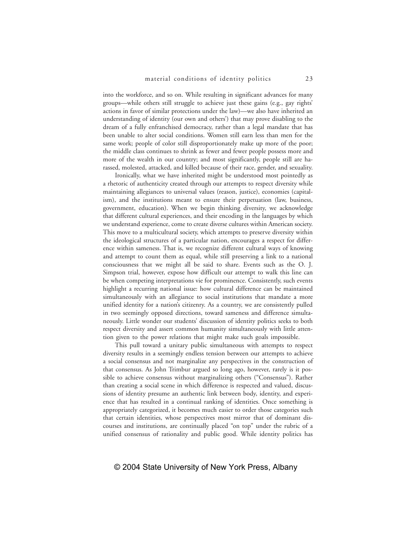into the workforce, and so on. While resulting in significant advances for many groups—while others still struggle to achieve just these gains (e.g., gay rights' actions in favor of similar protections under the law)—we also have inherited an understanding of identity (our own and others') that may prove disabling to the dream of a fully enfranchised democracy, rather than a legal mandate that has been unable to alter social conditions. Women still earn less than men for the same work; people of color still disproportionately make up more of the poor; the middle class continues to shrink as fewer and fewer people possess more and more of the wealth in our country; and most significantly, people still are harassed, molested, attacked, and killed because of their race, gender, and sexuality.

Ironically, what we have inherited might be understood most pointedly as a rhetoric of authenticity created through our attempts to respect diversity while maintaining allegiances to universal values (reason, justice), economies (capitalism), and the institutions meant to ensure their perpetuation (law, business, government, education). When we begin thinking diversity, we acknowledge that different cultural experiences, and their encoding in the languages by which we understand experience, come to create diverse cultures within American society. This move to a multicultural society, which attempts to preserve diversity within the ideological structures of a particular nation, encourages a respect for difference within sameness. That is, we recognize different cultural ways of knowing and attempt to count them as equal, while still preserving a link to a national consciousness that we might all be said to share. Events such as the O. J. Simpson trial, however, expose how difficult our attempt to walk this line can be when competing interpretations vie for prominence. Consistently, such events highlight a recurring national issue: how cultural difference can be maintained simultaneously with an allegiance to social institutions that mandate a more unified identity for a nation's citizenry. As a country, we are consistently pulled in two seemingly opposed directions, toward sameness and difference simultaneously. Little wonder our students' discussion of identity politics seeks to both respect diversity and assert common humanity simultaneously with little attention given to the power relations that might make such goals impossible.

This pull toward a unitary public simultaneous with attempts to respect diversity results in a seemingly endless tension between our attempts to achieve a social consensus and not marginalize any perspectives in the construction of that consensus. As John Trimbur argued so long ago, however, rarely is it possible to achieve consensus without marginalizing others ("Consensus"). Rather than creating a social scene in which difference is respected and valued, discussions of identity presume an authentic link between body, identity, and experience that has resulted in a continual ranking of identities. Once something is appropriately categorized, it becomes much easier to order those categories such that certain identities, whose perspectives most mirror that of dominant discourses and institutions, are continually placed "on top" under the rubric of a unified consensus of rationality and public good. While identity politics has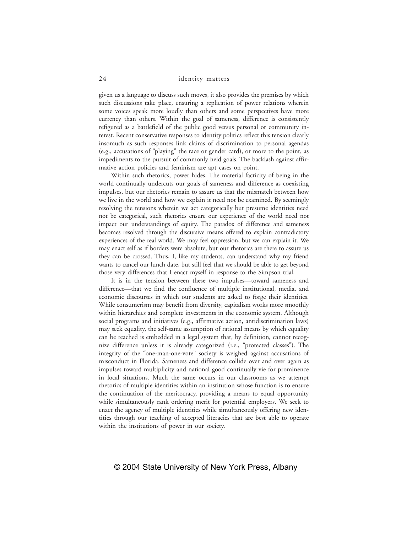given us a language to discuss such moves, it also provides the premises by which such discussions take place, ensuring a replication of power relations wherein some voices speak more loudly than others and some perspectives have more currency than others. Within the goal of sameness, difference is consistently refigured as a battlefield of the public good versus personal or community interest. Recent conservative responses to identity politics reflect this tension clearly insomuch as such responses link claims of discrimination to personal agendas (e.g., accusations of "playing" the race or gender card), or more to the point, as impediments to the pursuit of commonly held goals. The backlash against affirmative action policies and feminism are apt cases on point.

Within such rhetorics, power hides. The material facticity of being in the world continually undercuts our goals of sameness and difference as coexisting impulses, but our rhetorics remain to assure us that the mismatch between how we live in the world and how we explain it need not be examined. By seemingly resolving the tensions wherein we act categorically but presume identities need not be categorical, such rhetorics ensure our experience of the world need not impact our understandings of equity. The paradox of difference and sameness becomes resolved through the discursive means offered to explain contradictory experiences of the real world. We may feel oppression, but we can explain it. We may enact self as if borders were absolute, but our rhetorics are there to assure us they can be crossed. Thus, I, like my students, can understand why my friend wants to cancel our lunch date, but still feel that we should be able to get beyond those very differences that I enact myself in response to the Simpson trial.

It is in the tension between these two impulses—toward sameness and difference—that we find the confluence of multiple institutional, media, and economic discourses in which our students are asked to forge their identities. While consumerism may benefit from diversity, capitalism works more smoothly within hierarchies and complete investments in the economic system. Although social programs and initiatives (e.g., affirmative action, antidiscrimination laws) may seek equality, the self-same assumption of rational means by which equality can be reached is embedded in a legal system that, by definition, cannot recognize difference unless it is already categorized (i.e., "protected classes"). The integrity of the "one-man-one-vote" society is weighed against accusations of misconduct in Florida. Sameness and difference collide over and over again as impulses toward multiplicity and national good continually vie for prominence in local situations. Much the same occurs in our classrooms as we attempt rhetorics of multiple identities within an institution whose function is to ensure the continuation of the meritocracy, providing a means to equal opportunity while simultaneously rank ordering merit for potential employers. We seek to enact the agency of multiple identities while simultaneously offering new identities through our teaching of accepted literacies that are best able to operate within the institutions of power in our society.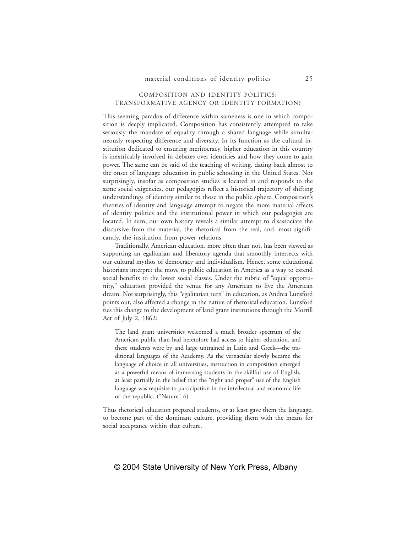### COMPOSITION AND IDENTITY POLITICS: TRANSFORMATIVE AGENCY OR IDENTITY FORMATION?

This seeming paradox of difference within sameness is one in which composition is deeply implicated. Composition has consistently attempted to take seriously the mandate of equality through a shared language while simultaneously respecting difference and diversity. In its function as the cultural institution dedicated to ensuring meritocracy, higher education in this country is inextricably involved in debates over identities and how they come to gain power. The same can be said of the teaching of writing, dating back almost to the onset of language education in public schooling in the United States. Not surprisingly, insofar as composition studies is located in and responds to the same social exigencies, our pedagogies reflect a historical trajectory of shifting understandings of identity similar to those in the public sphere. Composition's theories of identity and language attempt to negate the more material affects of identity politics and the institutional power in which our pedagogies are located. In sum, our own history reveals a similar attempt to disassociate the discursive from the material, the rhetorical from the real, and, most significantly, the institution from power relations.

Traditionally, American education, more often than not, has been viewed as supporting an egalitarian and liberatory agenda that smoothly intersects with our cultural mythos of democracy and individualism. Hence, some educational historians interpret the move to public education in America as a way to extend social benefits to the lower social classes. Under the rubric of "equal opportunity," education provided the venue for any American to live the American dream. Not surprisingly, this "egalitarian turn" in education, as Andrea Lunsford points out, also affected a change in the nature of rhetorical education. Lunsford ties this change to the development of land grant institutions through the Morrill Act of July 2, 1862:

The land grant universities welcomed a much broader spectrum of the American public than had heretofore had access to higher education, and these students were by and large untrained in Latin and Greek—the traditional languages of the Academy. As the vernacular slowly became the language of choice in all universities, instruction in composition emerged as a powerful means of immersing students in the skillful use of English, at least partially in the belief that the "right and proper" use of the English language was requisite to participation in the intellectual and economic life of the republic. ("Nature" 6)

Thus rhetorical education prepared students, or at least gave them the language, to become part of the dominant culture, providing them with the means for social acceptance within that culture.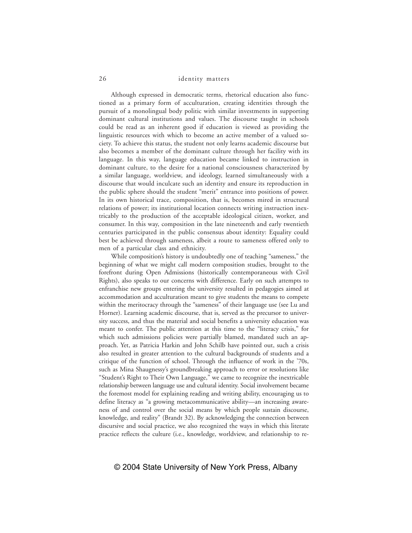Although expressed in democratic terms, rhetorical education also functioned as a primary form of acculturation, creating identities through the pursuit of a monolingual body politic with similar investments in supporting dominant cultural institutions and values. The discourse taught in schools could be read as an inherent good if education is viewed as providing the linguistic resources with which to become an active member of a valued society. To achieve this status, the student not only learns academic discourse but also becomes a member of the dominant culture through her facility with its language. In this way, language education became linked to instruction in dominant culture, to the desire for a national consciousness characterized by a similar language, worldview, and ideology, learned simultaneously with a discourse that would inculcate such an identity and ensure its reproduction in the public sphere should the student "merit" entrance into positions of power. In its own historical trace, composition, that is, becomes mired in structural relations of power; its institutional location connects writing instruction inextricably to the production of the acceptable ideological citizen, worker, and consumer. In this way, composition in the late nineteenth and early twentieth centuries participated in the public consensus about identity: Equality could best be achieved through sameness, albeit a route to sameness offered only to men of a particular class and ethnicity.

While composition's history is undoubtedly one of teaching "sameness," the beginning of what we might call modern composition studies, brought to the forefront during Open Admissions (historically contemporaneous with Civil Rights), also speaks to our concerns with difference. Early on such attempts to enfranchise new groups entering the university resulted in pedagogies aimed at accommodation and acculturation meant to give students the means to compete within the meritocracy through the "sameness" of their language use (see Lu and Horner). Learning academic discourse, that is, served as the precursor to university success, and thus the material and social benefits a university education was meant to confer. The public attention at this time to the "literacy crisis," for which such admissions policies were partially blamed, mandated such an approach. Yet, as Patricia Harkin and John Schilb have pointed out, such a crisis also resulted in greater attention to the cultural backgrounds of students and a critique of the function of school. Through the influence of work in the '70s, such as Mina Shaugnessy's groundbreaking approach to error or resolutions like "Student's Right to Their Own Language," we came to recognize the inextricable relationship between language use and cultural identity. Social involvement became the foremost model for explaining reading and writing ability, encouraging us to define literacy as "a growing metacommunicative ability—an increasing awareness of and control over the social means by which people sustain discourse, knowledge, and reality" (Brandt 32). By acknowledging the connection between discursive and social practice, we also recognized the ways in which this literate practice reflects the culture (i.e., knowledge, worldview, and relationship to re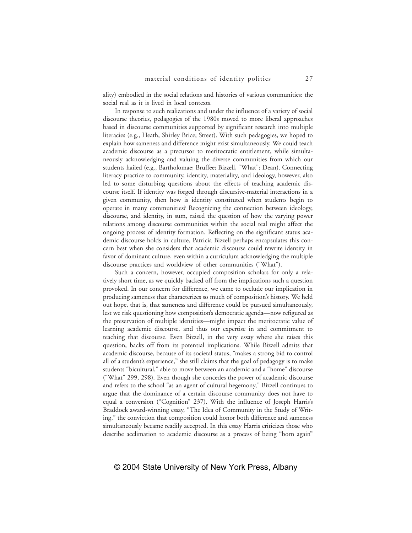ality) embodied in the social relations and histories of various communities: the social real as it is lived in local contexts.

In response to such realizations and under the influence of a variety of social discourse theories, pedagogies of the 1980s moved to more liberal approaches based in discourse communities supported by significant research into multiple literacies (e.g., Heath, Shirley Brice; Street). With such pedagogies, we hoped to explain how sameness and difference might exist simultaneously. We could teach academic discourse as a precursor to meritocratic entitlement, while simultaneously acknowledging and valuing the diverse communities from which our students hailed (e.g., Bartholomae; Bruffee; Bizzell, "What"; Dean). Connecting literacy practice to community, identity, materiality, and ideology, however, also led to some disturbing questions about the effects of teaching academic discourse itself. If identity was forged through discursive-material interactions in a given community, then how is identity constituted when students begin to operate in many communities? Recognizing the connection between ideology, discourse, and identity, in sum, raised the question of how the varying power relations among discourse communities within the social real might affect the ongoing process of identity formation. Reflecting on the significant status academic discourse holds in culture, Patricia Bizzell perhaps encapsulates this concern best when she considers that academic discourse could rewrite identity in favor of dominant culture, even within a curriculum acknowledging the multiple discourse practices and worldview of other communities ("What").

Such a concern, however, occupied composition scholars for only a relatively short time, as we quickly backed off from the implications such a question provoked. In our concern for difference, we came to occlude our implication in producing sameness that characterizes so much of composition's history. We held out hope, that is, that sameness and difference could be pursued simultaneously, lest we risk questioning how composition's democratic agenda—now refigured as the preservation of multiple identities—might impact the meritocratic value of learning academic discourse, and thus our expertise in and commitment to teaching that discourse. Even Bizzell, in the very essay where she raises this question, backs off from its potential implications. While Bizzell admits that academic discourse, because of its societal status, "makes a strong bid to control all of a student's experience," she still claims that the goal of pedagogy is to make students "bicultural," able to move between an academic and a "home" discourse ("What" 299, 298). Even though she concedes the power of academic discourse and refers to the school "as an agent of cultural hegemony," Bizzell continues to argue that the dominance of a certain discourse community does not have to equal a conversion ("Cognition" 237). With the influence of Joseph Harris's Braddock award-winning essay, "The Idea of Community in the Study of Writing," the conviction that composition could honor both difference and sameness simultaneously became readily accepted. In this essay Harris criticizes those who describe acclimation to academic discourse as a process of being "born again"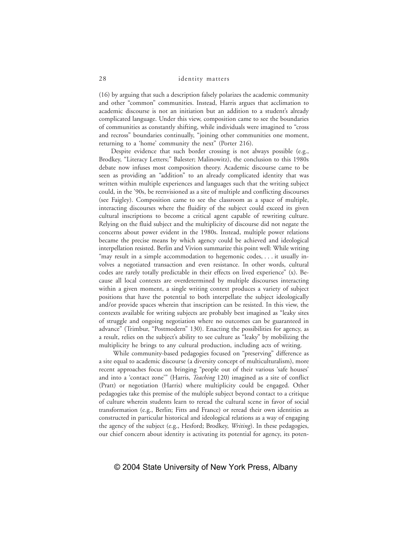(16) by arguing that such a description falsely polarizes the academic community and other "common" communities. Instead, Harris argues that acclimation to academic discourse is not an initiation but an addition to a student's already complicated language. Under this view, composition came to see the boundaries of communities as constantly shifting, while individuals were imagined to "cross and recross" boundaries continually, "joining other communities one moment, returning to a 'home' community the next" (Porter 216).

Despite evidence that such border crossing is not always possible (e.g., Brodkey, "Literacy Letters;" Balester; Malinowitz), the conclusion to this 1980s debate now infuses most composition theory. Academic discourse came to be seen as providing an "addition" to an already complicated identity that was written within multiple experiences and languages such that the writing subject could, in the '90s, be reenvisioned as a site of multiple and conflicting discourses (see Faigley). Composition came to see the classroom as a space of multiple, interacting discourses where the fluidity of the subject could exceed its given cultural inscriptions to become a critical agent capable of rewriting culture. Relying on the fluid subject and the multiplicity of discourse did not negate the concerns about power evident in the 1980s. Instead, multiple power relations became the precise means by which agency could be achieved and ideological interpellation resisted. Berlin and Vivion summarize this point well: While writing "may result in a simple accommodation to hegemonic codes, . . . it usually involves a negotiated transaction and even resistance. In other words, cultural codes are rarely totally predictable in their effects on lived experience" (x). Because all local contexts are overdetermined by multiple discourses interacting within a given moment, a single writing context produces a variety of subject positions that have the potential to both interpellate the subject ideologically and/or provide spaces wherein that inscription can be resisted. In this view, the contexts available for writing subjects are probably best imagined as "leaky sites of struggle and ongoing negotiation where no outcomes can be guaranteed in advance" (Trimbur, "Postmodern" 130). Enacting the possibilities for agency, as a result, relies on the subject's ability to see culture as "leaky" by mobilizing the multiplicity he brings to any cultural production, including acts of writing.

While community-based pedagogies focused on "preserving" difference as a site equal to academic discourse (a diversity concept of multiculturalism), more recent approaches focus on bringing "people out of their various 'safe houses' and into a 'contact zone'" (Harris, *Teaching* 120) imagined as a site of conflict (Pratt) or negotiation (Harris) where multiplicity could be engaged. Other pedagogies take this premise of the multiple subject beyond contact to a critique of culture wherein students learn to reread the cultural scene in favor of social transformation (e.g., Berlin; Fitts and France) or reread their own identities as constructed in particular historical and ideological relations as a way of engaging the agency of the subject (e.g., Hesford; Brodkey, *Writing*). In these pedagogies, our chief concern about identity is activating its potential for agency, its poten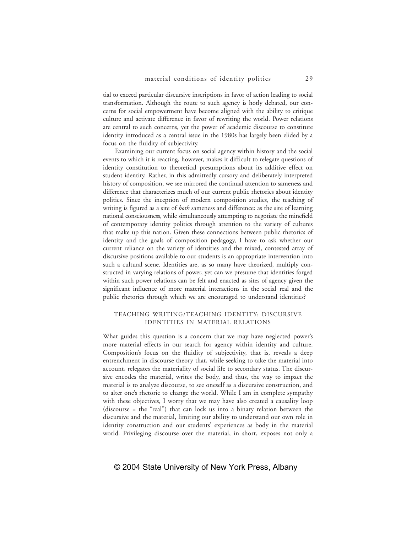tial to exceed particular discursive inscriptions in favor of action leading to social transformation. Although the route to such agency is hotly debated, our concerns for social empowerment have become aligned with the ability to critique culture and activate difference in favor of rewriting the world. Power relations are central to such concerns, yet the power of academic discourse to constitute identity introduced as a central issue in the 1980s has largely been elided by a focus on the fluidity of subjectivity.

Examining our current focus on social agency within history and the social events to which it is reacting, however, makes it difficult to relegate questions of identity constitution to theoretical presumptions about its additive effect on student identity. Rather, in this admittedly cursory and deliberately interpreted history of composition, we see mirrored the continual attention to sameness and difference that characterizes much of our current public rhetorics about identity politics. Since the inception of modern composition studies, the teaching of writing is figured as a site of *both* sameness and difference: as the site of learning national consciousness, while simultaneously attempting to negotiate the minefield of contemporary identity politics through attention to the variety of cultures that make up this nation. Given these connections between public rhetorics of identity and the goals of composition pedagogy, I have to ask whether our current reliance on the variety of identities and the mixed, contested array of discursive positions available to our students is an appropriate intervention into such a cultural scene. Identities are, as so many have theorized, multiply constructed in varying relations of power, yet can we presume that identities forged within such power relations can be felt and enacted as sites of agency given the significant influence of more material interactions in the social real and the public rhetorics through which we are encouraged to understand identities?

## TEACHING WRITING/TEACHING IDENTITY: DISCURSIVE IDENTITIES IN MATERIAL RELATIONS

What guides this question is a concern that we may have neglected power's more material effects in our search for agency within identity and culture. Composition's focus on the fluidity of subjectivity, that is, reveals a deep entrenchment in discourse theory that, while seeking to take the material into account, relegates the materiality of social life to secondary status. The discursive encodes the material, writes the body, and thus, the way to impact the material is to analyze discourse, to see oneself as a discursive construction, and to alter one's rhetoric to change the world. While I am in complete sympathy with these objectives, I worry that we may have also created a causality loop (discourse = the "real") that can lock us into a binary relation between the discursive and the material, limiting our ability to understand our own role in identity construction and our students' experiences as body in the material world. Privileging discourse over the material, in short, exposes not only a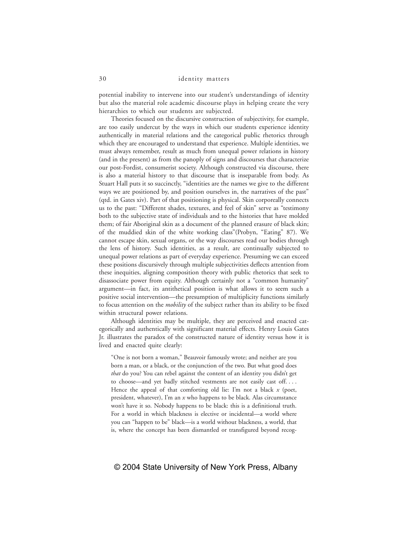potential inability to intervene into our student's understandings of identity but also the material role academic discourse plays in helping create the very hierarchies to which our students are subjected.

Theories focused on the discursive construction of subjectivity, for example, are too easily undercut by the ways in which our students experience identity authentically in material relations and the categorical public rhetorics through which they are encouraged to understand that experience. Multiple identities, we must always remember, result as much from unequal power relations in history (and in the present) as from the panoply of signs and discourses that characterize our post-Fordist, consumerist society. Although constructed via discourse, there is also a material history to that discourse that is inseparable from body. As Stuart Hall puts it so succinctly, "identities are the names we give to the different ways we are positioned by, and position ourselves in, the narratives of the past" (qtd. in Gates xiv). Part of that positioning is physical. Skin corporeally connects us to the past: "Different shades, textures, and feel of skin" serve as "testimony both to the subjective state of individuals and to the histories that have molded them; of fair Aboriginal skin as a document of the planned erasure of black skin; of the muddied skin of the white working class"(Probyn, "Eating" 87). We cannot escape skin, sexual organs, or the way discourses read our bodies through the lens of history. Such identities, as a result, are continually subjected to unequal power relations as part of everyday experience. Presuming we can exceed these positions discursively through multiple subjectivities deflects attention from these inequities, aligning composition theory with public rhetorics that seek to disassociate power from equity. Although certainly not a "common humanity" argument—in fact, its antithetical position is what allows it to seem such a positive social intervention—the presumption of multiplicity functions similarly to focus attention on the *mobility* of the subject rather than its ability to be fixed within structural power relations.

Although identities may be multiple, they are perceived and enacted categorically and authentically with significant material effects. Henry Louis Gates Jr. illustrates the paradox of the constructed nature of identity versus how it is lived and enacted quite clearly:

"One is not born a woman," Beauvoir famously wrote; and neither are you born a man, or a black, or the conjunction of the two. But what good does *that* do you? You can rebel against the content of an identity you didn't get to choose—and yet badly stitched vestments are not easily cast off. . . . Hence the appeal of that comforting old lie: I'm not a black *x* (poet, president, whatever), I'm an *x* who happens to be black. Alas circumstance won't have it so. Nobody happens to be black: this is a definitional truth. For a world in which blackness is elective or incidental—a world where you can "happen to be" black—is a world without blackness, a world, that is, where the concept has been dismantled or transfigured beyond recog-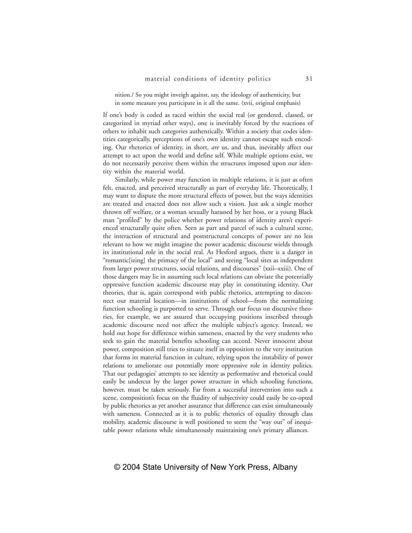nition./ So you might inveigh against, say, the ideology of authenticity, but in some measure you participate in it all the same. (xvii, original emphasis)

If one's body is coded as raced within the social real (or gendered, classed, or categorized in myriad other ways), one is inevitably forced by the reactions of others to inhabit such categories authentically. Within a society that codes identities categorically, perceptions of one's own identity cannot escape such encoding. Our rhetorics of identity, in short, *are* us, and thus, inevitably affect our attempt to act upon the world and define self. While multiple options exist, we do not necessarily perceive them within the structures imposed upon our identity within the material world.

Similarly, while power may function in multiple relations, it is just as often felt, enacted, and perceived structurally as part of everyday life. Theoretically, I may want to dispute the more structural effects of power, but the ways identities are treated and enacted does not allow such a vision. Just ask a single mother thrown off welfare, or a woman sexually harassed by her boss, or a young Black man "profiled" by the police whether power relations of identity aren't experienced structurally quite often. Seen as part and parcel of such a cultural scene, the interaction of structural and poststructural concepts of power are no less relevant to how we might imagine the power academic discourse wields through its institutional role in the social real. As Hesford argues, there is a danger in "romantic[izing] the primacy of the local" and seeing "local sites as independent from larger power structures, social relations, and discourses" (xxii–xxiii). One of those dangers may lie in assuming such local relations can obviate the potentially oppressive function academic discourse may play in constituting identity. Our theories, that is, again correspond with public rhetorics, attempting to disconnect our material location—in institutions of school—from the normalizing function schooling is purported to serve. Through our focus on discursive theories, for example, we are assured that occupying positions inscribed through academic discourse need not affect the multiple subject's agency. Instead, we hold out hope for difference within sameness, enacted by the very students who seek to gain the material benefits schooling can accord. Never innocent about power, composition still tries to situate itself in opposition to the very institution that forms its material function in culture, relying upon the instability of power relations to ameliorate our potentially more oppressive role in identity politics. That our pedagogies' attempts to see identity as performative and rhetorical could easily be undercut by the larger power structure in which schooling functions, however, must be taken seriously. Far from a successful intervention into such a scene, composition's focus on the fluidity of subjectivity could easily be co-opted by public rhetorics as yet another assurance that difference can exist simultaneously with sameness. Connected as it is to public rhetorics of equality through class mobility, academic discourse is well positioned to seem the "way out" of inequitable power relations while simultaneously maintaining one's primary alliances.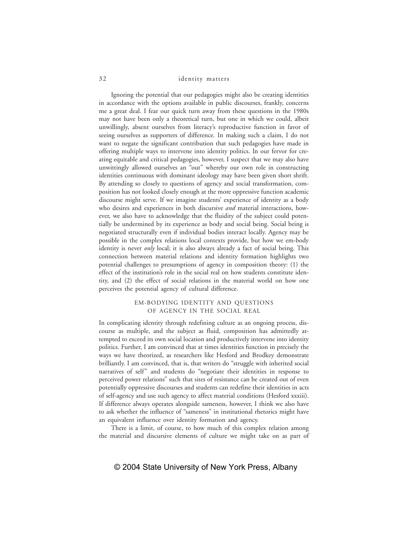#### 32 identity matters

Ignoring the potential that our pedagogies might also be creating identities in accordance with the options available in public discourses, frankly, concerns me a great deal. I fear our quick turn away from these questions in the 1980s may not have been only a theoretical turn, but one in which we could, albeit unwillingly, absent ourselves from literacy's reproductive function in favor of seeing ourselves as supporters of difference. In making such a claim, I do not want to negate the significant contribution that such pedagogies have made in offering multiple ways to intervene into identity politics. In our fervor for creating equitable and critical pedagogies, however, I suspect that we may also have unwittingly allowed ourselves an "out" whereby our own role in constructing identities continuous with dominant ideology may have been given short shrift. By attending so closely to questions of agency and social transformation, composition has not looked closely enough at the more oppressive function academic discourse might serve. If we imagine students' experience of identity as a body who desires and experiences in both discursive *and* material interactions, however, we also have to acknowledge that the fluidity of the subject could potentially be undermined by its experience as body and social being. Social being is negotiated structurally even if individual bodies interact locally. Agency may be possible in the complex relations local contexts provide, but how we em-body identity is never *only* local; it is also always already a fact of social being. This connection between material relations and identity formation highlights two potential challenges to presumptions of agency in composition theory: (1) the effect of the institution's role in the social real on how students constitute identity, and (2) the effect of social relations in the material world on how one perceives the potential agency of cultural difference.

## EM-BODYING IDENTITY AND QUESTIONS OF AGENCY IN THE SOCIAL REAL

In complicating identity through redefining culture as an ongoing process, discourse as multiple, and the subject as fluid, composition has admittedly attempted to exceed its own social location and productively intervene into identity politics. Further, I am convinced that at times identities function in precisely the ways we have theorized, as researchers like Hesford and Brodkey demonstrate brilliantly. I am convinced, that is, that writers do "struggle with inherited social narratives of self" and students do "negotiate their identities in response to perceived power relations" such that sites of resistance can be created out of even potentially oppressive discourses and students can redefine their identities in acts of self-agency and use such agency to affect material conditions (Hesford xxxiii). If difference always operates alongside sameness, however, I think we also have to ask whether the influence of "sameness" in institutional rhetorics might have an equivalent influence over identity formation and agency.

There is a limit, of course, to how much of this complex relation among the material and discursive elements of culture we might take on as part of